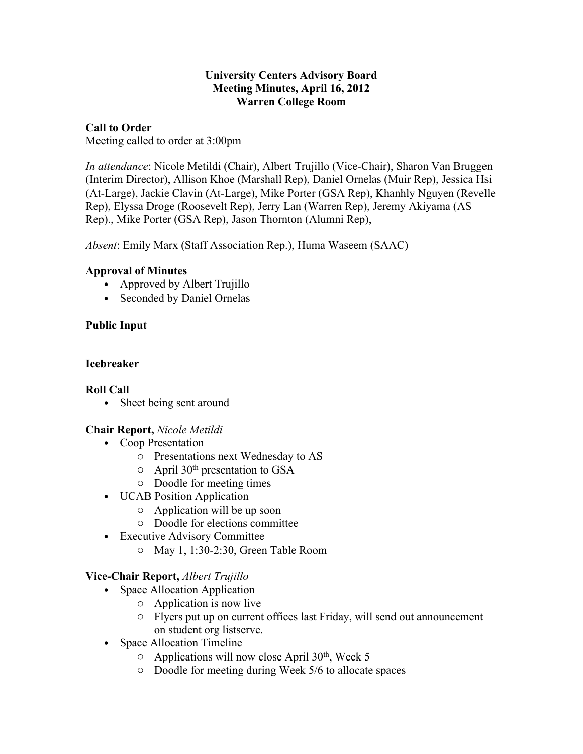#### **University Centers Advisory Board Meeting Minutes, April 16, 2012 Warren College Room**

## **Call to Order**

Meeting called to order at 3:00pm

*In attendance*: Nicole Metildi (Chair), Albert Trujillo (Vice-Chair), Sharon Van Bruggen (Interim Director), Allison Khoe (Marshall Rep), Daniel Ornelas (Muir Rep), Jessica Hsi (At-Large), Jackie Clavin (At-Large), Mike Porter (GSA Rep), Khanhly Nguyen (Revelle Rep), Elyssa Droge (Roosevelt Rep), Jerry Lan (Warren Rep), Jeremy Akiyama (AS Rep)., Mike Porter (GSA Rep), Jason Thornton (Alumni Rep),

*Absent*: Emily Marx (Staff Association Rep.), Huma Waseem (SAAC)

# **Approval of Minutes**

- Approved by Albert Trujillo
- Seconded by Daniel Ornelas

# **Public Input**

# **Icebreaker**

# **Roll Call**

• Sheet being sent around

# **Chair Report,** *Nicole Metildi*

- Coop Presentation
	- o Presentations next Wednesday to AS
	- o April 30th presentation to GSA
	- o Doodle for meeting times
- UCAB Position Application
	- o Application will be up soon
	- o Doodle for elections committee
- Executive Advisory Committee
	- o May 1, 1:30-2:30, Green Table Room

# **Vice-Chair Report,** *Albert Trujillo*

- Space Allocation Application
	- o Application is now live
	- o Flyers put up on current offices last Friday, will send out announcement on student org listserve.
- Space Allocation Timeline
	- $\circ$  Applications will now close April 30<sup>th</sup>, Week 5
	- o Doodle for meeting during Week 5/6 to allocate spaces